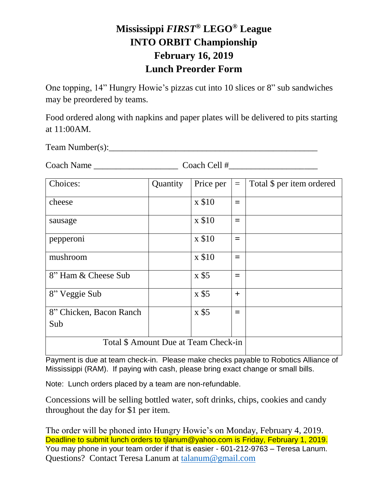## **Mississippi** *FIRST***® LEGO® League INTO ORBIT Championship February 16, 2019 Lunch Preorder Form**

One topping, 14" Hungry Howie's pizzas cut into 10 slices or 8" sub sandwiches may be preordered by teams.

Food ordered along with napkins and paper plates will be delivered to pits starting at 11:00AM.

 $Team Number(s):$ 

Coach Name \_\_\_\_\_\_\_\_\_\_\_\_\_\_\_\_\_\_\_ Coach Cell #\_\_\_\_\_\_\_\_\_\_\_\_\_\_\_\_\_\_\_\_

| Choices:                             | Quantity | Price per | $=$   | Total \$ per item ordered |
|--------------------------------------|----------|-----------|-------|---------------------------|
| cheese                               |          | x \$10    | $=$   |                           |
| sausage                              |          | x \$10    | $=$   |                           |
| pepperoni                            |          | x \$10    | $=$   |                           |
| mushroom                             |          | x \$10    | $=$   |                           |
| 8" Ham & Cheese Sub                  |          | x \$5     | $=$   |                           |
| 8" Veggie Sub                        |          | x \$5     | $\pm$ |                           |
| 8" Chicken, Bacon Ranch              |          | x \$5     | $=$   |                           |
| Sub                                  |          |           |       |                           |
| Total \$ Amount Due at Team Check-in |          |           |       |                           |

Payment is due at team check-in. Please make checks payable to Robotics Alliance of Mississippi (RAM). If paying with cash, please bring exact change or small bills.

Note: Lunch orders placed by a team are non-refundable.

Concessions will be selling bottled water, soft drinks, chips, cookies and candy throughout the day for \$1 per item.

The order will be phoned into Hungry Howie's on Monday, February 4, 2019. Deadline to submit lunch orders to tjlanum@yahoo.com is Friday, February 1, 2019. You may phone in your team order if that is easier - 601-212-9763 – Teresa Lanum. Questions? Contact Teresa Lanum at [talanum@gmail.com](mailto:talanum@gmail.com)